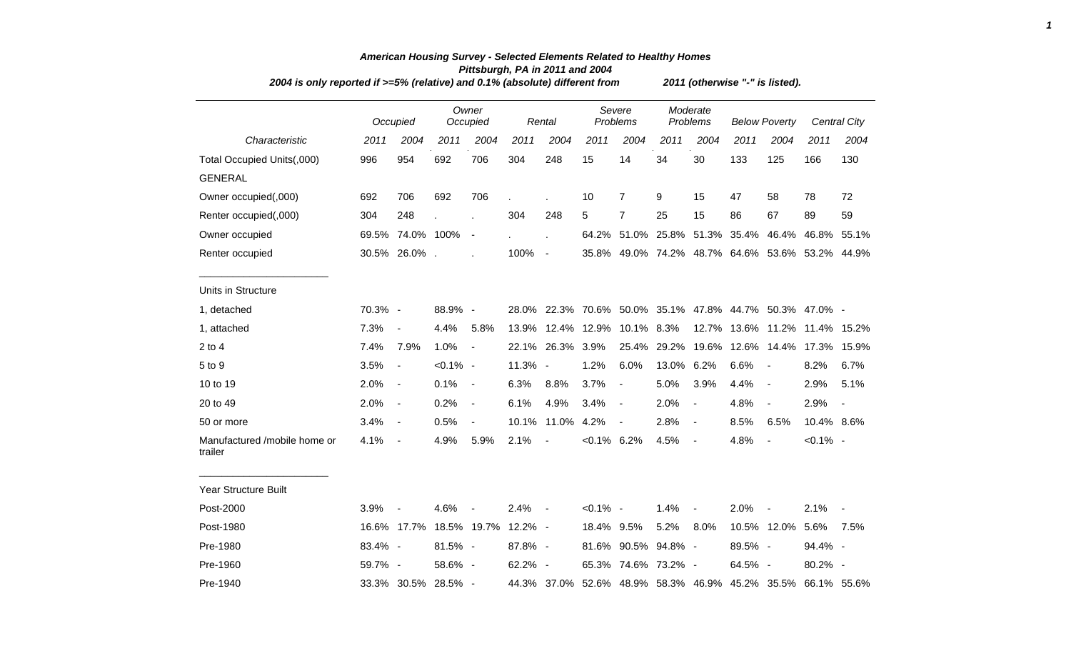| 2004 is only reported if >=5% (relative) and 0.1% (absolute) different from | 2011 (otherwise "-" is listed). |                          |             |                          |         |                          |                |                          |       |                          |                      |                          |                                                             |                     |
|-----------------------------------------------------------------------------|---------------------------------|--------------------------|-------------|--------------------------|---------|--------------------------|----------------|--------------------------|-------|--------------------------|----------------------|--------------------------|-------------------------------------------------------------|---------------------|
|                                                                             |                                 | Occupied                 |             | Owner<br>Occupied        |         | Rental                   |                | Severe<br>Problems       |       | Moderate<br>Problems     | <b>Below Poverty</b> |                          |                                                             | <b>Central City</b> |
| Characteristic                                                              | 2011                            | 2004                     | 2011        | 2004                     | 2011    | 2004                     | 2011           | 2004                     | 2011  | 2004                     | 2011                 | 2004                     | 2011                                                        | 2004                |
| Total Occupied Units(,000)                                                  | 996                             | 954                      | 692         | 706                      | 304     | 248                      | 15             | 14                       | 34    | 30                       | 133                  | 125                      | 166                                                         | 130                 |
| <b>GENERAL</b>                                                              |                                 |                          |             |                          |         |                          |                |                          |       |                          |                      |                          |                                                             |                     |
| Owner occupied(,000)                                                        | 692                             | 706                      | 692         | 706                      |         |                          | 10             | $\overline{7}$           | 9     | 15                       | 47                   | 58                       | 78                                                          | 72                  |
| Renter occupied(,000)                                                       | 304                             | 248                      |             | $\overline{a}$           | 304     | 248                      | 5              | $\overline{7}$           | 25    | 15                       | 86                   | 67                       | 89                                                          | 59                  |
| Owner occupied                                                              |                                 | 69.5% 74.0% 100%         |             | $\overline{\phantom{a}}$ |         | t,                       |                | 64.2% 51.0% 25.8%        |       |                          | 51.3% 35.4%          | 46.4%                    | 46.8%                                                       | 55.1%               |
| Renter occupied                                                             |                                 | 30.5% 26.0% .            |             |                          | 100%    | $\sim$                   |                |                          |       |                          |                      |                          | 35.8% 49.0% 74.2% 48.7% 64.6% 53.6% 53.2% 44.9%             |                     |
| Units in Structure                                                          |                                 |                          |             |                          |         |                          |                |                          |       |                          |                      |                          |                                                             |                     |
| 1, detached                                                                 | 70.3% -                         |                          | 88.9% -     |                          | 28.0%   |                          |                |                          |       |                          |                      |                          | 22.3% 70.6% 50.0% 35.1% 47.8% 44.7% 50.3% 47.0% -           |                     |
| 1, attached                                                                 | 7.3%                            | $\overline{\phantom{a}}$ | 4.4%        | 5.8%                     | 13.9%   |                          | 12.4% 12.9%    | 10.1% 8.3%               |       |                          | 12.7% 13.6%          |                          | 11.2% 11.4% 15.2%                                           |                     |
| $2$ to $4$                                                                  | 7.4%                            | 7.9%                     | 1.0%        | $\blacksquare$           | 22.1%   | 26.3%                    | 3.9%           | 25.4%                    | 29.2% | 19.6%                    | 12.6%                |                          | 14.4% 17.3%                                                 | 15.9%               |
| 5 to 9                                                                      | 3.5%                            | $\blacksquare$           | $< 0.1\%$ - |                          | 11.3%   | $\overline{\phantom{a}}$ | 1.2%           | 6.0%                     | 13.0% | 6.2%                     | 6.6%                 | $\overline{\phantom{a}}$ | 8.2%                                                        | 6.7%                |
| 10 to 19                                                                    | 2.0%                            | $\overline{\phantom{a}}$ | 0.1%        | $\overline{\phantom{a}}$ | 6.3%    | 8.8%                     | 3.7%           | $\blacksquare$           | 5.0%  | 3.9%                     | 4.4%                 | $\overline{\phantom{a}}$ | 2.9%                                                        | 5.1%                |
| 20 to 49                                                                    | 2.0%                            | $\overline{\phantom{a}}$ | 0.2%        | $\overline{\phantom{a}}$ | 6.1%    | 4.9%                     | 3.4%           | $\sim$                   | 2.0%  | $\blacksquare$           | 4.8%                 | $\frac{1}{2}$            | 2.9%                                                        |                     |
| 50 or more                                                                  | 3.4%                            | $\overline{\phantom{a}}$ | 0.5%        | $\overline{\phantom{a}}$ | 10.1%   | 11.0%                    | 4.2%           | $\overline{\phantom{a}}$ | 2.8%  | $\blacksquare$           | 8.5%                 | 6.5%                     | 10.4% 8.6%                                                  |                     |
| Manufactured /mobile home or<br>trailer                                     | 4.1%                            | $\overline{\phantom{a}}$ | 4.9%        | 5.9%                     | 2.1%    | $\blacksquare$           | $< 0.1\%$ 6.2% |                          | 4.5%  | $\overline{\phantom{a}}$ | 4.8%                 | $\overline{a}$           | $< 0.1\%$ -                                                 |                     |
| Year Structure Built                                                        |                                 |                          |             |                          |         |                          |                |                          |       |                          |                      |                          |                                                             |                     |
| Post-2000                                                                   | 3.9%                            |                          | 4.6%        |                          | 2.4%    | $\sim$                   | $< 0.1\%$ -    |                          | 1.4%  | $\overline{\phantom{a}}$ | 2.0%                 |                          | 2.1%                                                        |                     |
| Post-1980                                                                   |                                 | 16.6% 17.7%              |             | 18.5% 19.7%              | 12.2% - |                          | 18.4% 9.5%     |                          | 5.2%  | 8.0%                     |                      | 10.5% 12.0% 5.6%         |                                                             | 7.5%                |
| Pre-1980                                                                    | 83.4% -                         |                          | 81.5% -     |                          | 87.8% - |                          |                | 81.6% 90.5% 94.8% -      |       |                          | 89.5% -              |                          | 94.4% -                                                     |                     |
| Pre-1960                                                                    | 59.7% -                         |                          | 58.6% -     |                          | 62.2% - |                          |                | 65.3% 74.6% 73.2% -      |       |                          | 64.5% -              |                          | 80.2% -                                                     |                     |
| Pre-1940                                                                    |                                 | 33.3% 30.5% 28.5% -      |             |                          |         |                          |                |                          |       |                          |                      |                          | 44.3% 37.0% 52.6% 48.9% 58.3% 46.9% 45.2% 35.5% 66.1% 55.6% |                     |

## *American Housing Survey - Selected Elements Related to Healthy Homes Pittsburgh, PA in 2011 and 2004*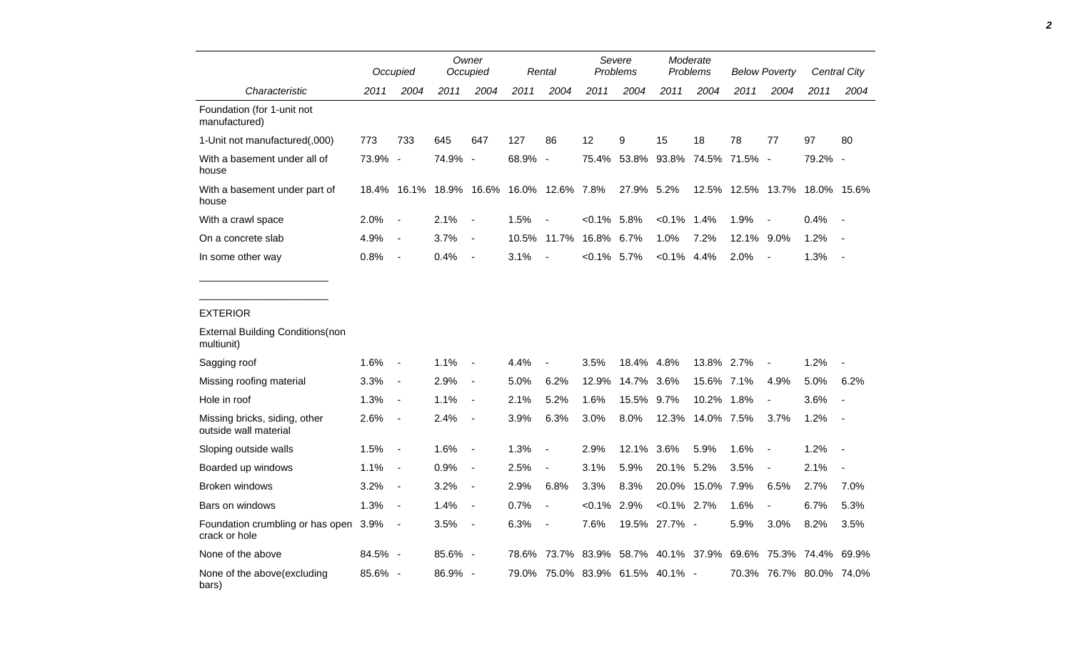|                                                        |         | Occupied                 |                                          | Owner<br>Occupied |         | Rental                                                      |                | Severe<br>Problems |                                 | Moderate<br>Problems |            | <b>Below Poverty</b>          |         | <b>Central City</b> |
|--------------------------------------------------------|---------|--------------------------|------------------------------------------|-------------------|---------|-------------------------------------------------------------|----------------|--------------------|---------------------------------|----------------------|------------|-------------------------------|---------|---------------------|
| Characteristic                                         | 2011    | 2004                     | 2011                                     | 2004              | 2011    | 2004                                                        | 2011           | 2004               | 2011                            | 2004                 | 2011       | 2004                          | 2011    | 2004                |
| Foundation (for 1-unit not<br>manufactured)            |         |                          |                                          |                   |         |                                                             |                |                    |                                 |                      |            |                               |         |                     |
| 1-Unit not manufactured(,000)                          | 773     | 733                      | 645                                      | 647               | 127     | 86                                                          | 12             | 9                  | 15                              | 18                   | 78         | 77                            | 97      | 80                  |
| With a basement under all of<br>house                  | 73.9% - |                          | 74.9% -                                  |                   | 68.9% - |                                                             |                |                    | 75.4% 53.8% 93.8% 74.5% 71.5% - |                      |            |                               | 79.2% - |                     |
| With a basement under part of<br>house                 |         |                          | 18.4% 16.1% 18.9% 16.6% 16.0% 12.6% 7.8% |                   |         |                                                             |                | 27.9% 5.2%         |                                 |                      |            | 12.5% 12.5% 13.7% 18.0% 15.6% |         |                     |
| With a crawl space                                     | 2.0%    | $\blacksquare$           | 2.1%                                     | $\sim$ $-$        | 1.5%    | $\overline{\phantom{a}}$                                    | $< 0.1\%$ 5.8% |                    | $< 0.1\%$ 1.4%                  |                      | 1.9%       | $\sim$                        | 0.4%    | $\sim$              |
| On a concrete slab                                     | 4.9%    | $\blacksquare$           | 3.7%                                     | $\sim$ $-$        |         | 10.5% 11.7% 16.8% 6.7%                                      |                |                    | 1.0%                            | 7.2%                 | 12.1% 9.0% |                               | 1.2%    | $\sim$ $-$          |
| In some other way                                      | 0.8%    | $\overline{\phantom{a}}$ | $0.4\%$ -                                |                   | 3.1%    | $\sim$                                                      | $<0.1\%$ 5.7%  |                    | $< 0.1\%$ 4.4%                  |                      | 2.0%       | $\sim$                        | 1.3%    | $\sim$ $-$          |
| <b>External Building Conditions(non</b><br>multiunit)  |         |                          |                                          |                   |         |                                                             |                |                    |                                 |                      |            |                               |         |                     |
| Sagging roof                                           | 1.6%    | $\blacksquare$           | 1.1%                                     | $\sim$            | 4.4%    | $\blacksquare$                                              | 3.5%           | 18.4% 4.8%         |                                 | 13.8% 2.7%           |            | $\overline{\phantom{a}}$      | 1.2%    |                     |
| Missing roofing material                               | 3.3%    | $\sim$                   | 2.9%                                     | $\sim$            | 5.0%    | 6.2%                                                        | 12.9%          | 14.7% 3.6%         |                                 | 15.6% 7.1%           |            | 4.9%                          | 5.0%    | 6.2%                |
| Hole in roof                                           | 1.3%    | $\blacksquare$           | 1.1%                                     | $\sim$ $-$        | 2.1%    | 5.2%                                                        | 1.6%           | 15.5% 9.7%         |                                 | 10.2% 1.8%           |            | $\blacksquare$                | 3.6%    | $\sim$              |
| Missing bricks, siding, other<br>outside wall material | 2.6%    | $\overline{\phantom{a}}$ | $2.4\%$ -                                |                   | 3.9%    | 6.3%                                                        | 3.0%           | 8.0%               |                                 | 12.3% 14.0% 7.5%     |            | 3.7%                          | 1.2%    | $\sim$ $-$          |
| Sloping outside walls                                  | 1.5%    | $\overline{\phantom{a}}$ | $1.6% -$                                 |                   | 1.3%    | $\overline{\phantom{a}}$                                    | 2.9%           | 12.1% 3.6%         |                                 | 5.9%                 | 1.6%       | $\overline{\phantom{a}}$      | 1.2%    | $\sim$ $-$          |
| Boarded up windows                                     | 1.1%    | $\blacksquare$           | 0.9%                                     | $\sim$ $-$        | 2.5%    | $\blacksquare$                                              | 3.1%           | 5.9%               | 20.1% 5.2%                      |                      | 3.5%       | $\overline{\phantom{a}}$      | 2.1%    | $\sim$              |
| Broken windows                                         | 3.2%    | $\sim$                   | 3.2%                                     | $\sim$ $-$        | 2.9%    | 6.8%                                                        | 3.3%           | 8.3%               |                                 | 20.0% 15.0% 7.9%     |            | 6.5%                          | 2.7%    | 7.0%                |
| Bars on windows                                        | 1.3%    | $\sim$                   | 1.4%                                     | $\sim$ $-$        | 0.7%    | $\blacksquare$                                              | $< 0.1\%$ 2.9% |                    | $< 0.1\%$ 2.7%                  |                      | 1.6%       | $\blacksquare$                | 6.7%    | 5.3%                |
| Foundation crumbling or has open 3.9%<br>crack or hole |         | $\sim$                   | $3.5% -$                                 |                   | 6.3%    | $\sim$                                                      | 7.6%           |                    | 19.5% 27.7% -                   |                      | 5.9%       | 3.0%                          | 8.2%    | 3.5%                |
| None of the above                                      | 84.5% - |                          | 85.6% -                                  |                   |         | 78.6% 73.7% 83.9% 58.7% 40.1% 37.9% 69.6% 75.3% 74.4% 69.9% |                |                    |                                 |                      |            |                               |         |                     |
| None of the above(excluding<br>bars)                   | 85.6% - |                          | 86.9% -                                  |                   |         | 79.0% 75.0% 83.9% 61.5% 40.1% -                             |                |                    |                                 |                      |            | 70.3% 76.7% 80.0% 74.0%       |         |                     |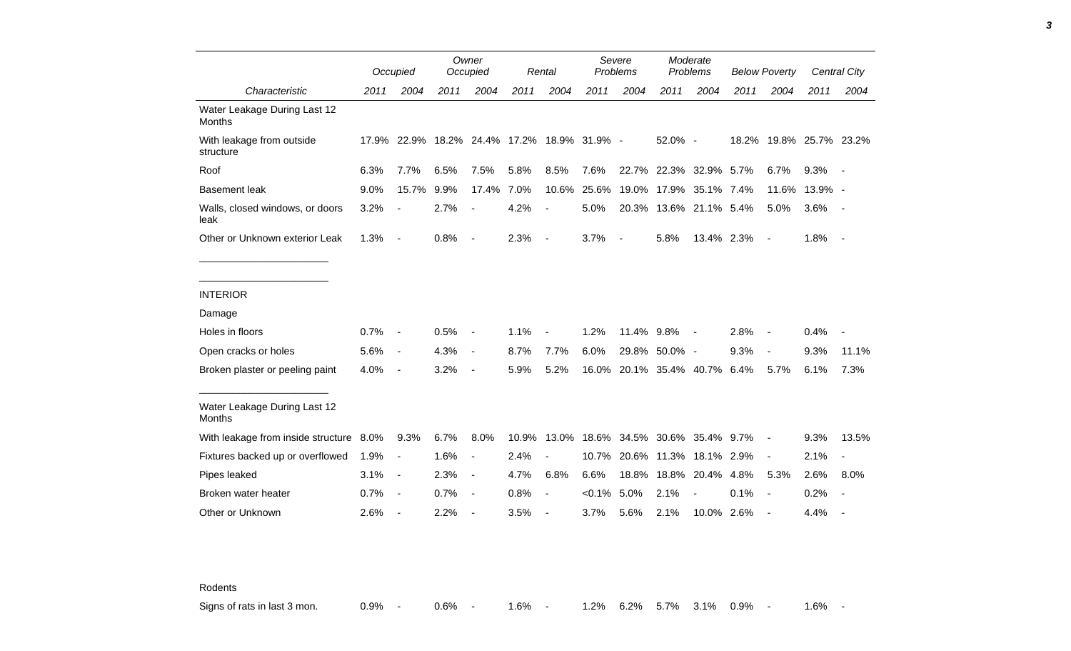|                                               |      | Occupied                                    |      | Owner<br>Occupied        |       | Rental                   | Severe<br><b>Problems</b> |                              | Moderate<br>Problems   |                  | <b>Below Poverty</b> |                          |         | Central City             |
|-----------------------------------------------|------|---------------------------------------------|------|--------------------------|-------|--------------------------|---------------------------|------------------------------|------------------------|------------------|----------------------|--------------------------|---------|--------------------------|
| Characteristic                                | 2011 | 2004                                        | 2011 | 2004                     | 2011  | 2004                     | 2011                      | 2004                         | 2011                   | 2004             | 2011                 | 2004                     | 2011    | 2004                     |
| Water Leakage During Last 12<br><b>Months</b> |      |                                             |      |                          |       |                          |                           |                              |                        |                  |                      |                          |         |                          |
| With leakage from outside<br>structure        |      | 17.9% 22.9% 18.2% 24.4% 17.2% 18.9% 31.9% - |      |                          |       |                          |                           |                              | 52.0% -                |                  |                      | 18.2% 19.8% 25.7% 23.2%  |         |                          |
| Roof                                          | 6.3% | 7.7%                                        | 6.5% | 7.5%                     | 5.8%  | 8.5%                     | 7.6%                      |                              | 22.7% 22.3% 32.9% 5.7% |                  |                      | 6.7%                     | 9.3%    |                          |
| <b>Basement leak</b>                          | 9.0% | 15.7%                                       | 9.9% | 17.4%                    | 7.0%  | 10.6%                    | 25.6%                     | 19.0%                        |                        | 17.9% 35.1% 7.4% |                      | 11.6%                    | 13.9% - |                          |
| Walls, closed windows, or doors<br>leak       | 3.2% |                                             | 2.7% | $\blacksquare$           | 4.2%  | $\overline{\phantom{a}}$ | 5.0%                      |                              | 20.3% 13.6% 21.1% 5.4% |                  |                      | 5.0%                     | 3.6%    |                          |
| Other or Unknown exterior Leak                | 1.3% | $\overline{\phantom{a}}$                    | 0.8% | $\overline{\phantom{a}}$ | 2.3%  | $\sim$                   | 3.7%                      | $\overline{\phantom{a}}$     | 5.8%                   | 13.4% 2.3%       |                      | $\blacksquare$           | 1.8%    | $\overline{\phantom{a}}$ |
|                                               |      |                                             |      |                          |       |                          |                           |                              |                        |                  |                      |                          |         |                          |
| <b>INTERIOR</b>                               |      |                                             |      |                          |       |                          |                           |                              |                        |                  |                      |                          |         |                          |
| Damage                                        |      |                                             |      |                          |       |                          |                           |                              |                        |                  |                      |                          |         |                          |
| Holes in floors                               | 0.7% |                                             | 0.5% |                          | 1.1%  |                          | 1.2%                      | 11.4% 9.8%                   |                        |                  | 2.8%                 |                          | 0.4%    |                          |
| Open cracks or holes                          | 5.6% | $\overline{\phantom{a}}$                    | 4.3% | $\blacksquare$           | 8.7%  | 7.7%                     | 6.0%                      | 29.8%                        | 50.0% -                |                  | 9.3%                 | $\overline{a}$           | 9.3%    | 11.1%                    |
| Broken plaster or peeling paint               | 4.0% | $\overline{\phantom{a}}$                    | 3.2% | $\overline{\phantom{a}}$ | 5.9%  | 5.2%                     |                           | 16.0% 20.1% 35.4% 40.7% 6.4% |                        |                  |                      | 5.7%                     | 6.1%    | 7.3%                     |
| Water Leakage During Last 12<br><b>Months</b> |      |                                             |      |                          |       |                          |                           |                              |                        |                  |                      |                          |         |                          |
| With leakage from inside structure 8.0%       |      | 9.3%                                        | 6.7% | 8.0%                     | 10.9% |                          |                           | 13.0% 18.6% 34.5%            |                        | 30.6% 35.4%      | 9.7%                 | $\overline{\phantom{a}}$ | 9.3%    | 13.5%                    |
| Fixtures backed up or overflowed              | 1.9% |                                             | 1.6% | $\overline{\phantom{a}}$ | 2.4%  |                          | 10.7%                     | 20.6%                        | 11.3%                  | 18.1%            | 2.9%                 | $\overline{a}$           | 2.1%    |                          |
| Pipes leaked                                  | 3.1% | $\overline{\phantom{a}}$                    | 2.3% | $\overline{\phantom{a}}$ | 4.7%  | 6.8%                     | 6.6%                      | 18.8%                        | 18.8%                  | 20.4% 4.8%       |                      | 5.3%                     | 2.6%    | 8.0%                     |
| Broken water heater                           | 0.7% | $\overline{\phantom{a}}$                    | 0.7% | $\overline{\phantom{a}}$ | 0.8%  | $\overline{\phantom{a}}$ | $< 0.1\%$                 | 5.0%                         | 2.1%                   |                  | 0.1%                 | $\overline{a}$           | 0.2%    |                          |
| Other or Unknown                              | 2.6% |                                             | 2.2% | $\blacksquare$           | 3.5%  |                          | 3.7%                      | 5.6%                         | 2.1%                   | 10.0%            | 2.6%                 |                          | 4.4%    |                          |

Rodents

Signs of rats in last 3 mon. 0.9% - 0.6% - 1.6% - 1.2% 6.2% 5.7% 3.1% 0.9% - 1.6% -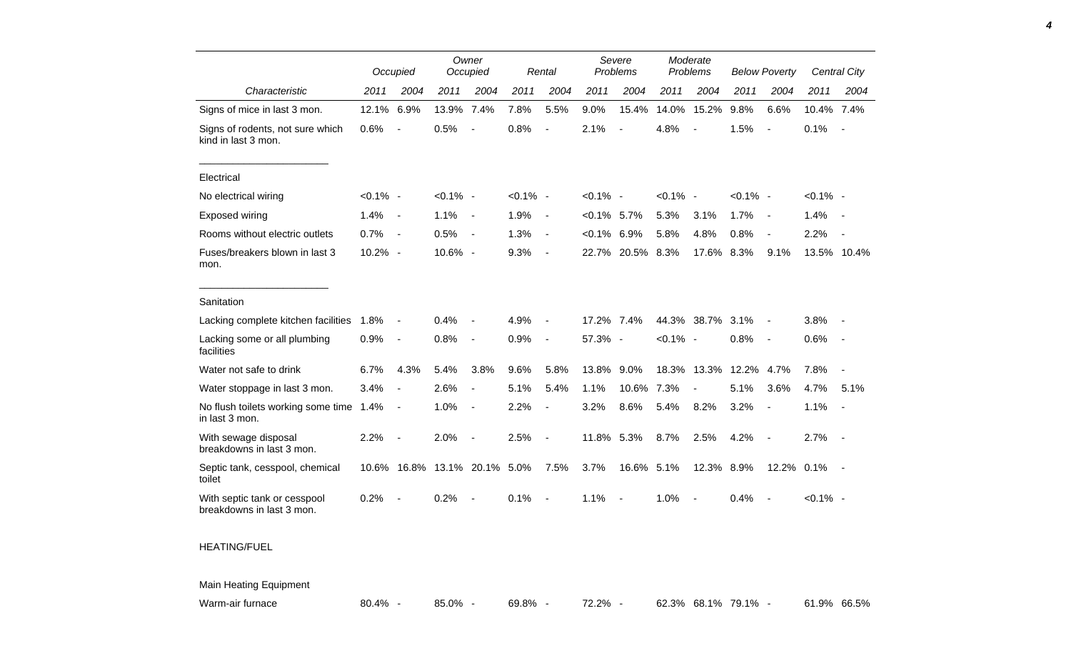|                                                           |             | Occupied                 | Owner<br>Occupied            |                          | Rental      |                          | Severe<br>Problems |                          | Moderate<br>Problems |                          | <b>Below Poverty</b>   |                          |             | Central City             |
|-----------------------------------------------------------|-------------|--------------------------|------------------------------|--------------------------|-------------|--------------------------|--------------------|--------------------------|----------------------|--------------------------|------------------------|--------------------------|-------------|--------------------------|
| Characteristic                                            | 2011        | 2004                     | 2011                         | 2004                     | 2011        | 2004                     | 2011               | 2004                     | 2011                 | 2004                     | 2011                   | 2004                     | 2011        | 2004                     |
| Signs of mice in last 3 mon.                              | 12.1%       | 6.9%                     | 13.9%                        | 7.4%                     | 7.8%        | 5.5%                     | 9.0%               | 15.4%                    | 14.0%                | 15.2%                    | 9.8%                   | 6.6%                     | 10.4% 7.4%  |                          |
| Signs of rodents, not sure which<br>kind in last 3 mon.   | 0.6%        | $\overline{\phantom{a}}$ | 0.5%                         | $\overline{\phantom{a}}$ | 0.8%        | $\blacksquare$           | 2.1%               | $\blacksquare$           | 4.8%                 | $\overline{\phantom{a}}$ | 1.5%                   | $\blacksquare$           | 0.1%        | $\overline{\phantom{a}}$ |
| Electrical                                                |             |                          |                              |                          |             |                          |                    |                          |                      |                          |                        |                          |             |                          |
| No electrical wiring                                      | $< 0.1\%$ - |                          | $< 0.1\%$ -                  |                          | $< 0.1\%$ - |                          | $< 0.1\%$ -        |                          | $< 0.1\%$ -          |                          | $< 0.1\%$ -            |                          | $< 0.1\%$ - |                          |
| <b>Exposed wiring</b>                                     | 1.4%        | $\overline{\phantom{a}}$ | 1.1%                         | $\overline{\phantom{a}}$ | 1.9%        | $\overline{\phantom{a}}$ | $< 0.1\%$ 5.7%     |                          | 5.3%                 | 3.1%                     | 1.7%                   | $\sim$                   | 1.4%        |                          |
| Rooms without electric outlets                            | 0.7%        | $\overline{\phantom{a}}$ | 0.5%                         | $\overline{\phantom{a}}$ | 1.3%        | $\blacksquare$           | $< 0.1\%$ 6.9%     |                          | 5.8%                 | 4.8%                     | 0.8%                   | $\overline{\phantom{a}}$ | 2.2%        | $\overline{\phantom{a}}$ |
| Fuses/breakers blown in last 3<br>mon.                    | 10.2% -     |                          | 10.6% -                      |                          | 9.3%        | $\blacksquare$           |                    | 22.7% 20.5% 8.3%         |                      | 17.6% 8.3%               |                        | 9.1%                     | 13.5% 10.4% |                          |
| Sanitation                                                |             |                          |                              |                          |             |                          |                    |                          |                      |                          |                        |                          |             |                          |
| Lacking complete kitchen facilities                       | 1.8%        | $\blacksquare$           | 0.4%                         | $\overline{\phantom{a}}$ | 4.9%        | $\blacksquare$           | 17.2% 7.4%         |                          |                      | 44.3% 38.7% 3.1%         |                        | $\overline{\phantom{a}}$ | 3.8%        |                          |
| Lacking some or all plumbing<br>facilities                | 0.9%        | $\overline{\phantom{a}}$ | 0.8%                         | $\blacksquare$           | 0.9%        | $\overline{\phantom{a}}$ | 57.3% -            |                          | $< 0.1\%$ -          |                          | 0.8%                   | $\overline{\phantom{a}}$ | 0.6%        |                          |
| Water not safe to drink                                   | 6.7%        | 4.3%                     | 5.4%                         | 3.8%                     | 9.6%        | 5.8%                     | 13.8%              | 9.0%                     |                      |                          | 18.3% 13.3% 12.2% 4.7% |                          | 7.8%        | $\overline{\phantom{a}}$ |
| Water stoppage in last 3 mon.                             | 3.4%        | $\overline{a}$           | 2.6%                         | $\overline{\phantom{a}}$ | 5.1%        | 5.4%                     | 1.1%               | 10.6%                    | 7.3%                 | $\overline{\phantom{a}}$ | 5.1%                   | 3.6%                     | 4.7%        | 5.1%                     |
| No flush toilets working some time 1.4%<br>in last 3 mon. |             | $\blacksquare$           | 1.0%                         | $\blacksquare$           | 2.2%        | $\overline{\phantom{a}}$ | 3.2%               | 8.6%                     | 5.4%                 | 8.2%                     | 3.2%                   | $\mathcal{A}$            | 1.1%        | $\blacksquare$           |
| With sewage disposal<br>breakdowns in last 3 mon.         | 2.2%        | $\blacksquare$           | 2.0%                         | $\overline{\phantom{a}}$ | 2.5%        | $\overline{\phantom{a}}$ | 11.8% 5.3%         |                          | 8.7%                 | 2.5%                     | 4.2%                   | $\overline{\phantom{a}}$ | 2.7%        | $\sim$                   |
| Septic tank, cesspool, chemical<br>toilet                 |             |                          | 10.6% 16.8% 13.1% 20.1% 5.0% |                          |             | 7.5%                     | 3.7%               | 16.6% 5.1%               |                      | 12.3% 8.9%               |                        | 12.2%                    | 0.1%        |                          |
| With septic tank or cesspool<br>breakdowns in last 3 mon. | 0.2%        |                          | 0.2%                         | $\overline{\phantom{a}}$ | 0.1%        | $\blacksquare$           | 1.1%               | $\overline{\phantom{a}}$ | 1.0%                 | $\overline{\phantom{a}}$ | 0.4%                   |                          | $< 0.1\%$ - |                          |
| <b>HEATING/FUEL</b>                                       |             |                          |                              |                          |             |                          |                    |                          |                      |                          |                        |                          |             |                          |
| <b>Main Heating Equipment</b>                             |             |                          |                              |                          |             |                          |                    |                          |                      |                          |                        |                          |             |                          |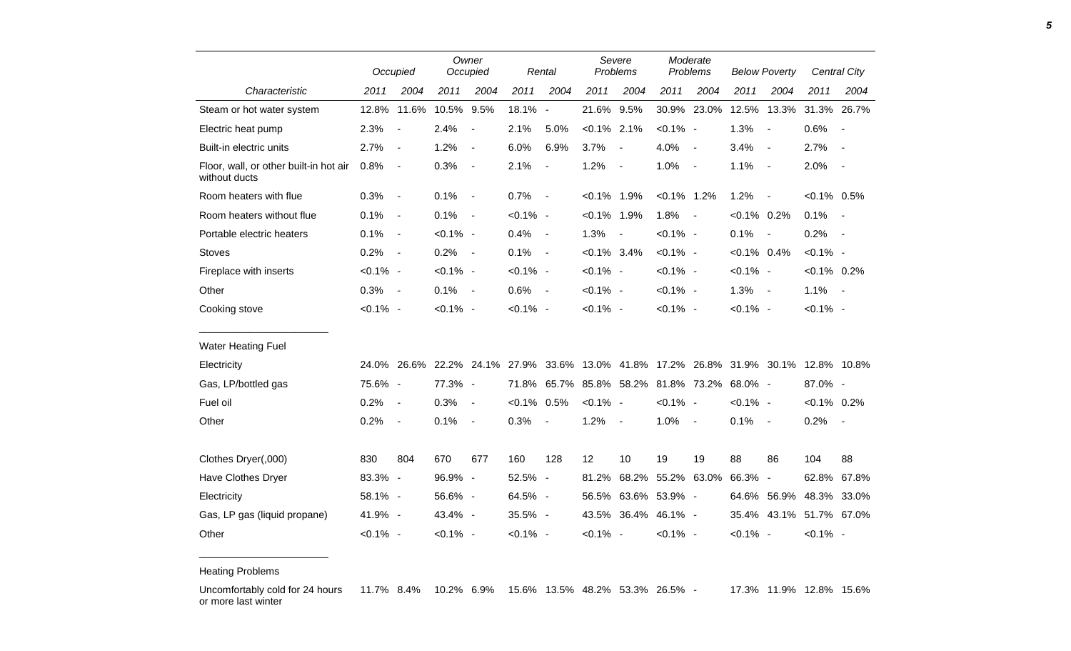|                                                         | Occupied    |                          | Owner<br>Occupied |                              |                | Rental                   | Severe<br>Problems |                               | Moderate<br>Problems |                          | <b>Below Poverty</b> |                                                                                     |                | Central City   |
|---------------------------------------------------------|-------------|--------------------------|-------------------|------------------------------|----------------|--------------------------|--------------------|-------------------------------|----------------------|--------------------------|----------------------|-------------------------------------------------------------------------------------|----------------|----------------|
| Characteristic                                          | 2011        | 2004                     | 2011              | 2004                         | 2011           | 2004                     | 2011               | 2004                          | 2011                 | 2004                     | 2011                 | 2004                                                                                | 2011           | 2004           |
| Steam or hot water system                               | 12.8%       | 11.6%                    | 10.5% 9.5%        |                              | 18.1% -        |                          | 21.6% 9.5%         |                               |                      | 30.9% 23.0%              |                      | 12.5% 13.3%                                                                         | 31.3% 26.7%    |                |
| Electric heat pump                                      | 2.3%        | $\overline{\phantom{a}}$ | 2.4%              | $\qquad \qquad \blacksquare$ | 2.1%           | 5.0%                     | $< 0.1\%$ 2.1%     |                               | $< 0.1\%$ -          |                          | 1.3%                 | $\overline{\phantom{a}}$                                                            | 0.6%           | $\blacksquare$ |
| Built-in electric units                                 | 2.7%        | $\blacksquare$           | 1.2%              | $\overline{\phantom{a}}$     | 6.0%           | 6.9%                     | 3.7%               | $\blacksquare$                | 4.0%                 | $\overline{\phantom{a}}$ | 3.4%                 | $\overline{\phantom{a}}$                                                            | 2.7%           | $\blacksquare$ |
| Floor, wall, or other built-in hot air<br>without ducts | 0.8%        | $\overline{\phantom{a}}$ | 0.3%              | $\qquad \qquad \blacksquare$ | 2.1%           | $\overline{\phantom{a}}$ | 1.2%               | $\blacksquare$                | 1.0%                 | $\overline{\phantom{a}}$ | 1.1%                 | $\overline{\phantom{a}}$                                                            | 2.0%           | $\blacksquare$ |
| Room heaters with flue                                  | 0.3%        | $\blacksquare$           | 0.1%              | $\blacksquare$               | 0.7%           | $\blacksquare$           | $< 0.1\%$          | 1.9%                          | $< 0.1\%$ 1.2%       |                          | 1.2%                 | $\overline{\phantom{a}}$                                                            | $< 0.1\%$ 0.5% |                |
| Room heaters without flue                               | 0.1%        | $\blacksquare$           | 0.1%              | $\blacksquare$               | $< 0.1\%$ -    |                          | $< 0.1\%$ 1.9%     |                               | 1.8%                 | $\overline{\phantom{a}}$ | $< 0.1\%$ 0.2%       |                                                                                     | 0.1%           | $\blacksquare$ |
| Portable electric heaters                               | 0.1%        | $\blacksquare$           | $< 0.1\%$ -       |                              | 0.4%           | $\blacksquare$           | 1.3%               |                               | $< 0.1\%$ -          |                          | 0.1%                 | $\blacksquare$                                                                      | 0.2%           | $\blacksquare$ |
| <b>Stoves</b>                                           | 0.2%        | $\overline{\phantom{a}}$ | 0.2%              | $\overline{a}$               | 0.1%           | $\blacksquare$           | $< 0.1\%$ 3.4%     |                               | $< 0.1\%$ -          |                          | $< 0.1\%$ 0.4%       |                                                                                     | $< 0.1\%$ -    |                |
| Fireplace with inserts                                  | $< 0.1\%$ - |                          | $< 0.1\%$ -       |                              | $< 0.1\%$ -    |                          | $< 0.1\%$ -        |                               | $< 0.1\%$ -          |                          | $< 0.1\%$ -          |                                                                                     | $< 0.1\%$ 0.2% |                |
| Other                                                   | 0.3%        | $\sim$ $-$               | 0.1%              | $\sim$ $-$                   | $0.6\%$ -      |                          | $< 0.1\%$ -        |                               | $< 0.1\%$ -          |                          | 1.3%                 | $\overline{\phantom{a}}$                                                            | 1.1%           | $\sim$ $-$     |
| Cooking stove                                           | $< 0.1\%$ - |                          | $< 0.1\%$ -       |                              | $< 0.1\%$ -    |                          | $< 0.1\%$ -        |                               | $< 0.1\%$ -          |                          | $< 0.1\%$ -          |                                                                                     | $< 0.1\%$ -    |                |
| <b>Water Heating Fuel</b>                               |             |                          |                   |                              |                |                          |                    |                               |                      |                          |                      |                                                                                     |                |                |
| Electricity                                             |             |                          |                   |                              |                |                          |                    |                               |                      |                          |                      | 24.0% 26.6% 22.2% 24.1% 27.9% 33.6% 13.0% 41.8% 17.2% 26.8% 31.9% 30.1% 12.8% 10.8% |                |                |
| Gas, LP/bottled gas                                     | 75.6% -     |                          | 77.3% -           |                              | 71.8%          |                          |                    | 65.7% 85.8% 58.2% 81.8% 73.2% |                      |                          | 68.0% -              |                                                                                     | 87.0% -        |                |
| Fuel oil                                                | 0.2%        | $\blacksquare$           | 0.3%              | $\blacksquare$               | $< 0.1\%$ 0.5% |                          | $< 0.1\%$ -        |                               | $< 0.1\%$ -          |                          | $< 0.1\%$ -          |                                                                                     | $< 0.1\%$ 0.2% |                |
| Other                                                   | 0.2%        | $\blacksquare$           | 0.1%              | $\blacksquare$               | 0.3%           | $\blacksquare$           | 1.2%               | $\blacksquare$                | 1.0%                 | $\overline{\phantom{a}}$ | 0.1%                 | $\overline{\phantom{a}}$                                                            | 0.2%           | $\blacksquare$ |
| Clothes Dryer(,000)                                     | 830         | 804                      | 670               | 677                          | 160            | 128                      | 12                 | 10                            | 19                   | 19                       | 88                   | 86                                                                                  | 104            | 88             |
| Have Clothes Dryer                                      | 83.3% -     |                          | 96.9% -           |                              | 52.5% -        |                          | 81.2%              |                               |                      | 68.2% 55.2% 63.0%        | 66.3% -              |                                                                                     | 62.8%          | 67.8%          |
| Electricity                                             | 58.1% -     |                          | 56.6% -           |                              | 64.5% -        |                          |                    | 56.5% 63.6% 53.9% -           |                      |                          |                      | 64.6% 56.9%                                                                         | 48.3% 33.0%    |                |
| Gas, LP gas (liquid propane)                            | 41.9% -     |                          | 43.4% -           |                              | 35.5% -        |                          |                    | 43.5% 36.4% 46.1% -           |                      |                          |                      | 35.4% 43.1% 51.7% 67.0%                                                             |                |                |
| Other                                                   | $< 0.1\%$ - |                          | $< 0.1\%$ -       |                              | $< 0.1\%$ -    |                          | $< 0.1\%$ -        |                               | $< 0.1\%$ -          |                          | $< 0.1\%$ -          |                                                                                     | $< 0.1\%$ -    |                |

Heating Problems

\_\_\_\_\_\_\_\_\_\_\_\_\_\_\_\_\_\_\_\_\_\_\_

Uncomfortably cold for 24 hours 11.7% 8.4% 10.2% 6.9% 15.6% 13.5% 48.2% 53.3% 26.5% - 17.3% 11.9% 12.8% 15.6%or more last winter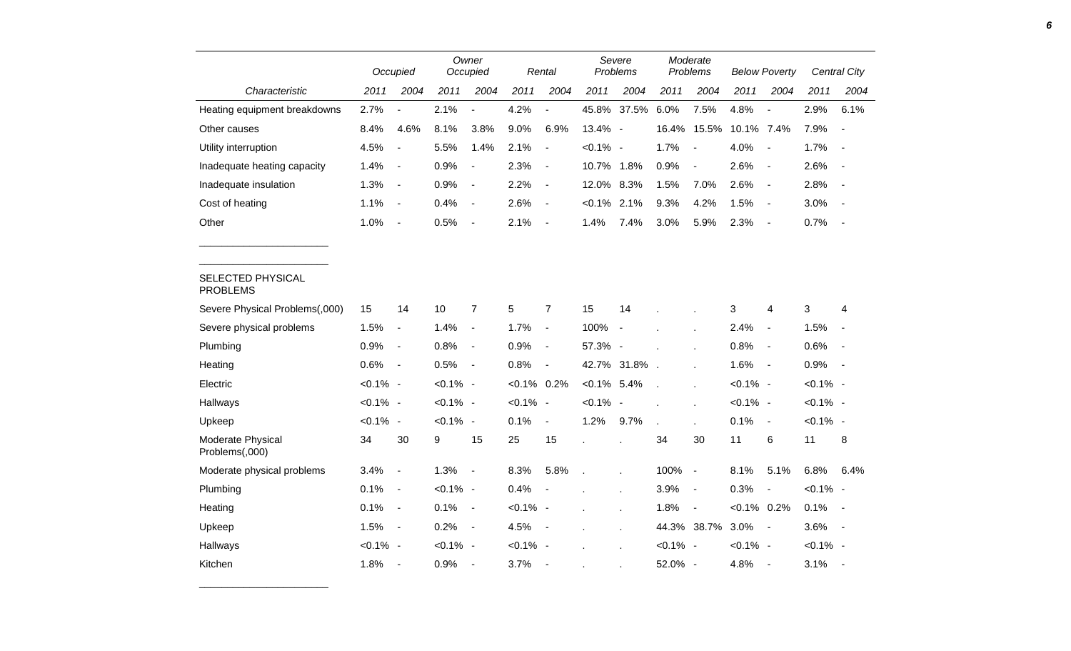|                                      |             | Occupied                     |             | Owner<br>Occupied            |             | Rental                       |                | Severe<br>Problems       |             | Moderate<br>Problems     |                | <b>Below Poverty</b>     |             | <b>Central City</b>      |
|--------------------------------------|-------------|------------------------------|-------------|------------------------------|-------------|------------------------------|----------------|--------------------------|-------------|--------------------------|----------------|--------------------------|-------------|--------------------------|
| Characteristic                       | 2011        | 2004                         | 2011        | 2004                         | 2011        | 2004                         | 2011           | 2004                     | 2011        | 2004                     | 2011           | 2004                     | 2011        | 2004                     |
| Heating equipment breakdowns         | 2.7%        |                              | 2.1%        | $\blacksquare$               | 4.2%        | $\blacksquare$               | 45.8%          | 37.5%                    | 6.0%        | 7.5%                     | 4.8%           | $\overline{a}$           | 2.9%        | 6.1%                     |
| Other causes                         | 8.4%        | 4.6%                         | 8.1%        | 3.8%                         | 9.0%        | 6.9%                         | 13.4% -        |                          | 16.4%       | 15.5%                    | 10.1% 7.4%     |                          | 7.9%        | $\overline{\phantom{a}}$ |
| Utility interruption                 | 4.5%        | $\blacksquare$               | 5.5%        | 1.4%                         | 2.1%        | $\blacksquare$               | $< 0.1\%$ -    |                          | 1.7%        | $\overline{\phantom{a}}$ | 4.0%           | $\blacksquare$           | 1.7%        | $\blacksquare$           |
| Inadequate heating capacity          | 1.4%        | $\blacksquare$               | 0.9%        | $\blacksquare$               | 2.3%        | $\overline{\phantom{a}}$     | 10.7%          | 1.8%                     | 0.9%        | $\overline{\phantom{a}}$ | 2.6%           | $\overline{\phantom{a}}$ | 2.6%        | $\overline{\phantom{a}}$ |
| Inadequate insulation                | 1.3%        | $\blacksquare$               | 0.9%        | $\qquad \qquad \blacksquare$ | 2.2%        | $\overline{\phantom{a}}$     | 12.0%          | 8.3%                     | 1.5%        | 7.0%                     | 2.6%           | $\overline{\phantom{a}}$ | 2.8%        |                          |
| Cost of heating                      | 1.1%        | $\blacksquare$               | 0.4%        | $\qquad \qquad \blacksquare$ | 2.6%        | $\blacksquare$               | $< 0.1\%$      | 2.1%                     | 9.3%        | 4.2%                     | 1.5%           | $\blacksquare$           | 3.0%        | $\blacksquare$           |
| Other                                | 1.0%        | $\blacksquare$               | 0.5%        | $\overline{\phantom{a}}$     | 2.1%        | $\overline{\phantom{a}}$     | 1.4%           | 7.4%                     | 3.0%        | 5.9%                     | 2.3%           | $\overline{\phantom{a}}$ | 0.7%        | $\sim$                   |
|                                      |             |                              |             |                              |             |                              |                |                          |             |                          |                |                          |             |                          |
| SELECTED PHYSICAL<br><b>PROBLEMS</b> |             |                              |             |                              |             |                              |                |                          |             |                          |                |                          |             |                          |
| Severe Physical Problems(,000)       | 15          | 14                           | 10          | $\overline{7}$               | 5           | $\overline{7}$               | 15             | 14                       |             |                          | 3              | 4                        | 3           | 4                        |
| Severe physical problems             | 1.5%        | $\qquad \qquad \blacksquare$ | 1.4%        | $\qquad \qquad \blacksquare$ | 1.7%        | $\blacksquare$               | 100%           | $\overline{\phantom{a}}$ |             |                          | 2.4%           | $\blacksquare$           | 1.5%        |                          |
| Plumbing                             | 0.9%        | $\blacksquare$               | 0.8%        | $\blacksquare$               | 0.9%        | $\blacksquare$               | 57.3% -        |                          |             |                          | 0.8%           | $\blacksquare$           | 0.6%        | $\sim$                   |
| Heating                              | 0.6%        | $\blacksquare$               | 0.5%        | $\blacksquare$               | 0.8%        | $\qquad \qquad \blacksquare$ |                | 42.7% 31.8%              |             |                          | 1.6%           | $\blacksquare$           | 0.9%        | $\sim$                   |
| Electric                             | $< 0.1\%$ - |                              | $< 0.1\%$ - |                              | $< 0.1\%$   | 0.2%                         | $< 0.1\%$ 5.4% |                          |             |                          | $< 0.1\%$ -    |                          | $< 0.1\%$ - |                          |
| Hallways                             | $< 0.1\%$ - |                              | $< 0.1\%$ - |                              | $< 0.1\%$ - |                              | $< 0.1\%$ -    |                          |             |                          | $< 0.1\%$ -    |                          | $< 0.1\%$ - |                          |
| Upkeep                               | $< 0.1\%$ - |                              | $< 0.1\%$ - |                              | 0.1%        | $\overline{\phantom{a}}$     | 1.2%           | 9.7%                     |             |                          | 0.1%           | $\blacksquare$           | $< 0.1\%$ - |                          |
| Moderate Physical<br>Problems(,000)  | 34          | 30                           | 9           | 15                           | 25          | 15                           |                |                          | 34          | 30                       | 11             | 6                        | 11          | 8                        |
| Moderate physical problems           | 3.4%        | $\overline{\phantom{a}}$     | 1.3%        | $\overline{a}$               | 8.3%        | 5.8%                         | $\overline{a}$ |                          | 100%        | $\overline{\phantom{a}}$ | 8.1%           | 5.1%                     | 6.8%        | 6.4%                     |
| Plumbing                             | 0.1%        | $\blacksquare$               | $< 0.1\%$ - |                              | 0.4%        | $\overline{\phantom{a}}$     |                |                          | 3.9%        | $\overline{\phantom{a}}$ | 0.3%           | $\blacksquare$           | $< 0.1\%$ - |                          |
| Heating                              | 0.1%        | $\overline{\phantom{a}}$     | 0.1%        | $\overline{\phantom{a}}$     | $< 0.1\%$ - |                              |                | $\mathbf{r}$             | 1.8%        | $\overline{\phantom{a}}$ | $< 0.1\%$ 0.2% |                          | 0.1%        | $\sim$                   |
| Upkeep                               | 1.5%        | $\overline{\phantom{a}}$     | 0.2%        | $\qquad \qquad \blacksquare$ | 4.5%        | $\overline{\phantom{a}}$     |                | $\mathbf{r}$             |             | 44.3% 38.7%              | 3.0%           | $\blacksquare$           | 3.6%        | $\sim$                   |
| Hallways                             | $< 0.1\%$ - |                              | $< 0.1\%$ - |                              | $< 0.1\%$ - |                              |                |                          | $< 0.1\%$ - |                          | $< 0.1\%$ -    |                          | $< 0.1\%$ - |                          |
| Kitchen                              | 1.8%        | $\overline{\phantom{a}}$     | 0.9%        | $\blacksquare$               | 3.7%        | $\overline{\phantom{a}}$     |                |                          | 52.0% -     |                          | 4.8%           | $\overline{\phantom{a}}$ | 3.1%        |                          |

\_\_\_\_\_\_\_\_\_\_\_\_\_\_\_\_\_\_\_\_\_\_\_